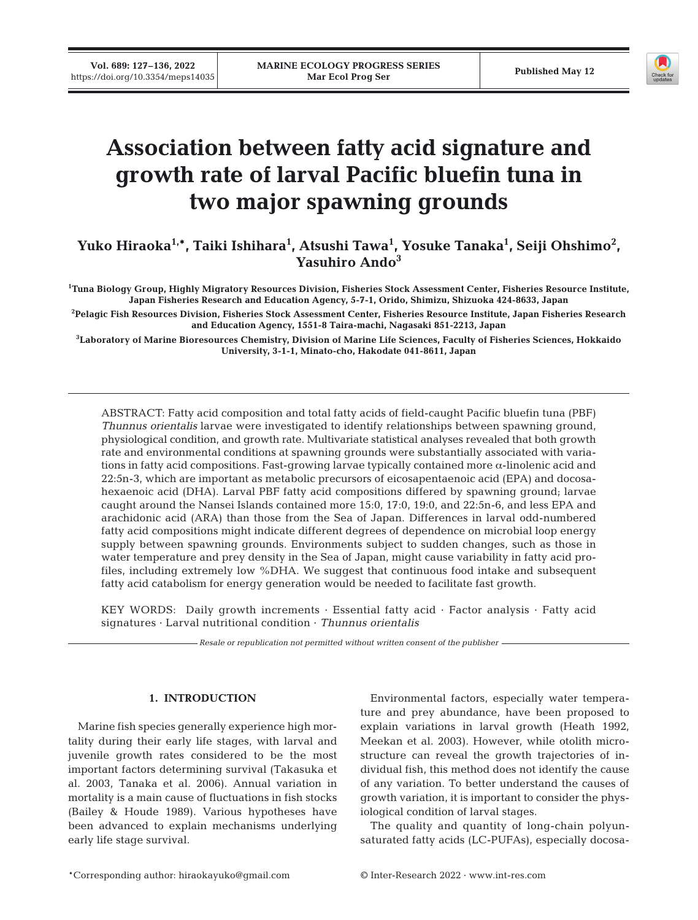

# **Association between fatty acid signature and growth rate of larval Pacific bluefin tuna in two major spawning grounds**

Yuko Hiraoka<sup>1,</sup>\*, Taiki Ishihara<sup>1</sup>, Atsushi Tawa<sup>1</sup>, Yosuke Tanaka<sup>1</sup>, Seiji Ohshimo<sup>2</sup>, **Yasuhiro Ando3** 

**1 Tuna Biology Group, Highly Migratory Resources Division, Fisheries Stock Assessment Center, Fisheries Resource Institute, Japan Fisheries Research and Education Agency, 5-7-1, Orido, Shimizu, Shizuoka 424-8633, Japan** 

**2 Pelagic Fish Resources Division, Fisheries Stock Assessment Center, Fisheries Resource Institute, Japan Fisheries Research and Education Agency, 1551-8 Taira-machi, Nagasaki 851-2213, Japan** 

**3 Laboratory of Marine Bioresources Chemistry, Division of Marine Life Sciences, Faculty of Fisheries Sciences, Hokkaido University, 3-1-1, Minato-cho, Hakodate 041-8611, Japan**

ABSTRACT: Fatty acid composition and total fatty acids of field-caught Pacific bluefin tuna (PBF) *Thunnus orientalis* larvae were investigated to identify relationships between spawning ground, physiological condition, and growth rate. Multivariate statistical analyses revealed that both growth rate and environmental conditions at spawning grounds were substantially associated with variations in fatty acid compositions. Fast-growing larvae typically contained more  $\alpha$ -linolenic acid and 22:5n-3, which are important as metabolic precursors of eicosapentaenoic acid (EPA) and docosahexaenoic acid (DHA). Larval PBF fatty acid compositions differed by spawning ground; larvae caught around the Nansei Islands contained more 15:0, 17:0, 19:0, and 22:5n-6, and less EPA and arachidonic acid (ARA) than those from the Sea of Japan. Differences in larval odd-numbered fatty acid compositions might indicate different degrees of dependence on microbial loop energy supply between spawning grounds. Environments subject to sudden changes, such as those in water temperature and prey density in the Sea of Japan, might cause variability in fatty acid profiles, including extremely low %DHA. We suggest that continuous food intake and subsequent fatty acid catabolism for energy generation would be needed to facilitate fast growth.

KEY WORDS: Daily growth increments · Essential fatty acid · Factor analysis · Fatty acid signatures · Larval nutritional condition · *Thunnus orientalis*

*Resale or republication not permitted without written consent of the publisher*

## **1. INTRODUCTION**

Marine fish species generally experience high mortality during their early life stages, with larval and juvenile growth rates considered to be the most important factors determining survival (Takasuka et al. 2003, Tanaka et al. 2006). Annual variation in mortality is a main cause of fluctuations in fish stocks (Bailey & Houde 1989). Various hypotheses have been advanced to explain mechanisms underlying early life stage survival.

Environmental factors, especially water temperature and prey abundance, have been proposed to explain variations in larval growth (Heath 1992, Meekan et al. 2003). However, while otolith microstructure can reveal the growth trajectories of in dividual fish, this method does not identify the cause of any variation. To better understand the causes of growth variation, it is important to consider the physiological condition of larval stages.

The quality and quantity of long-chain polyunsaturated fatty acids (LC-PUFAs), especially docosa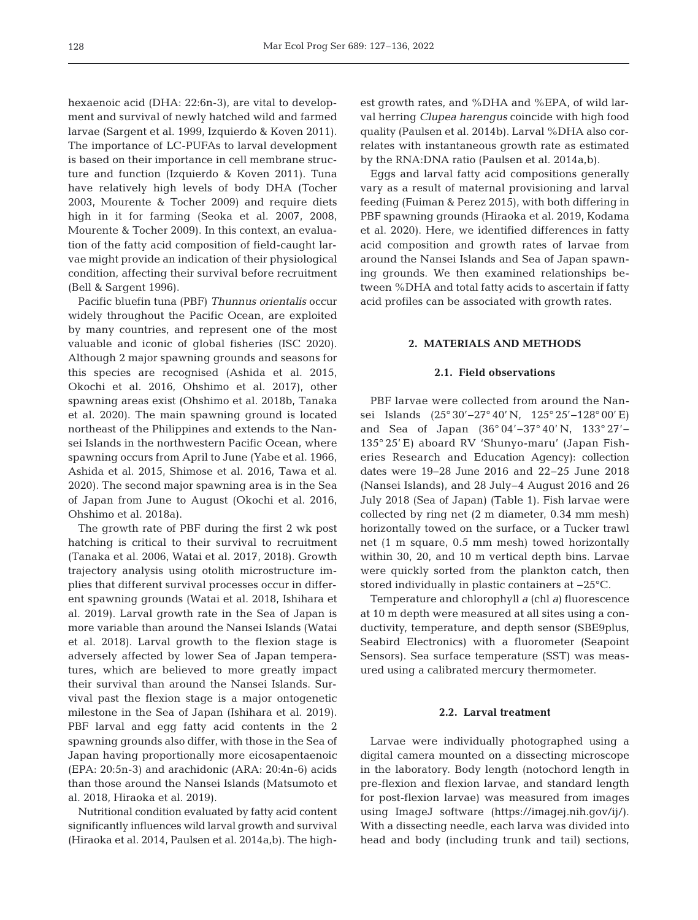hexaenoic acid (DHA: 22:6n-3), are vital to development and survival of newly hatched wild and farmed larvae (Sargent et al. 1999, Izquierdo & Koven 2011). The importance of LC-PUFAs to larval development is based on their importance in cell membrane structure and function (Izquierdo & Koven 2011). Tuna have relatively high levels of body DHA (Tocher 2003, Mourente & Tocher 2009) and require diets high in it for farming (Seoka et al. 2007, 2008, Mourente & Tocher 2009). In this context, an evaluation of the fatty acid composition of field-caught larvae might provide an indication of their physiological condition, affecting their survival before recruitment (Bell & Sargent 1996).

Pacific bluefin tuna (PBF) *Thunnus orientalis* occur widely throughout the Pacific Ocean, are exploited by many countries, and represent one of the most valuable and iconic of global fisheries (ISC 2020). Although 2 major spawning grounds and seasons for this species are recognised (Ashida et al. 2015, Okochi et al. 2016, Ohshimo et al. 2017), other spawning areas exist (Ohshimo et al. 2018b, Tanaka et al. 2020). The main spawning ground is located northeast of the Philippines and extends to the Nansei Islands in the northwestern Pacific Ocean, where spawning occurs from April to June (Yabe et al. 1966, Ashida et al. 2015, Shimose et al. 2016, Tawa et al. 2020). The second major spawning area is in the Sea of Japan from June to August (Okochi et al. 2016, Ohshimo et al. 2018a).

The growth rate of PBF during the first 2 wk post hatching is critical to their survival to recruitment (Tanaka et al. 2006, Watai et al. 2017, 2018). Growth trajectory analysis using otolith microstructure im plies that different survival processes occur in different spawning grounds (Watai et al. 2018, Ishihara et al. 2019). Larval growth rate in the Sea of Japan is more variable than around the Nansei Islands (Watai et al. 2018). Larval growth to the flexion stage is adversely affected by lower Sea of Japan temperatures, which are believed to more greatly impact their survival than around the Nansei Islands. Survival past the flexion stage is a major ontogenetic milestone in the Sea of Japan (Ishihara et al. 2019). PBF larval and egg fatty acid contents in the 2 spawning grounds also differ, with those in the Sea of Japan having proportionally more eicosapentaenoic (EPA: 20:5n-3) and arachidonic (ARA: 20:4n-6) acids than those around the Nansei Islands (Matsumoto et al. 2018, Hiraoka et al. 2019).

Nutritional condition evaluated by fatty acid content significantly influences wild larval growth and survival (Hiraoka et al. 2014, Paulsen et al. 2014a,b). The highest growth rates, and %DHA and %EPA, of wild larval herring *Clupea harengus* coincide with high food quality (Paulsen et al. 2014b). Larval %DHA also correlates with instantaneous growth rate as estimated by the RNA:DNA ratio (Paulsen et al. 2014a,b).

Eggs and larval fatty acid compositions generally vary as a result of maternal provisioning and larval feeding (Fuiman & Perez 2015), with both differing in PBF spawning grounds (Hiraoka et al. 2019, Kodama et al. 2020). Here, we identified differences in fatty acid composition and growth rates of larvae from around the Nansei Islands and Sea of Japan spawning grounds. We then examined relationships be tween %DHA and total fatty acids to ascertain if fatty acid profiles can be associated with growth rates.

## **2. MATERIALS AND METHODS**

## **2.1. Field observations**

PBF larvae were collected from around the Nansei Islands (25° 30′ – 27° 40′ N, 125° 25′ – 128° 00′ E) and Sea of Japan (36° 04'−37° 40' N, 133° 27'− 135° 25' E) aboard RV 'Shunyo-maru' (Japan Fisheries Research and Education Agency): collection dates were 19−28 June 2016 and 22−25 June 2018 (Nansei Islands), and 28 July−4 August 2016 and 26 July 2018 (Sea of Japan) (Table 1). Fish larvae were collected by ring net (2 m diameter, 0.34 mm mesh) horizontally towed on the surface, or a Tucker trawl net (1 m square, 0.5 mm mesh) towed horizontally within 30, 20, and 10 m vertical depth bins. Larvae were quickly sorted from the plankton catch, then stored individually in plastic containers at −25°C.

Temperature and chlorophyll *a* (chl *a*) fluorescence at 10 m depth were measured at all sites using a conductivity, temperature, and depth sensor (SBE9plus, Seabird Electronics) with a fluorometer (Seapoint Sensors). Sea surface temperature (SST) was measured using a calibrated mercury thermometer.

## **2.2. Larval treatment**

Larvae were individually photographed using a digital camera mounted on a dissecting microscope in the laboratory. Body length (notochord length in pre-flexion and flexion larvae, and standard length for post-flexion larvae) was measured from images using ImageJ software (https://imagej.nih.gov/ij/). With a dissecting needle, each larva was divided into head and body (including trunk and tail) sections,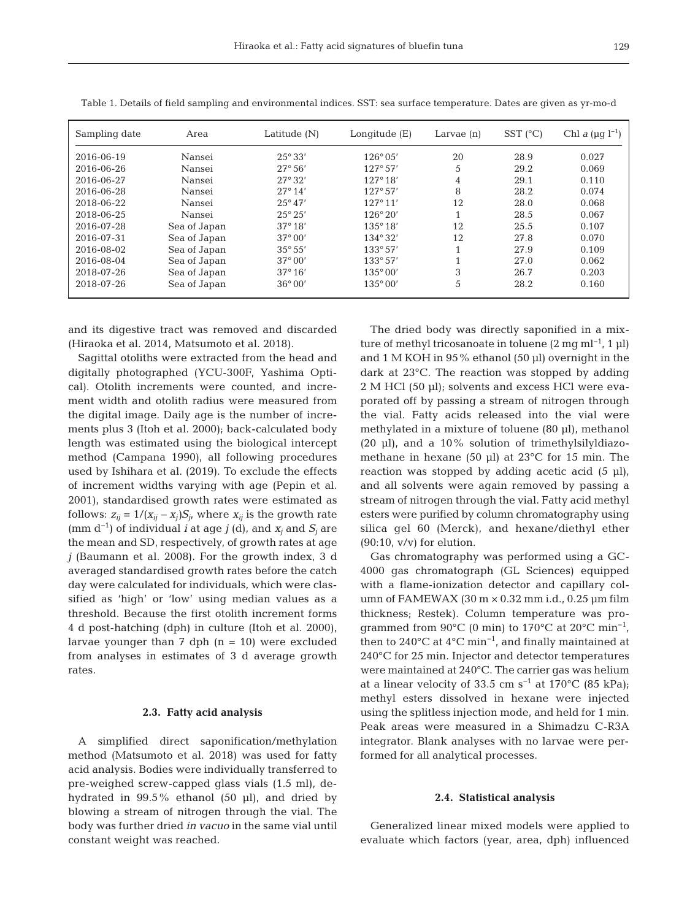| Sampling date | Area         | Latitude (N)     | Longitude (E)     | Larvae $(n)$ | $SST$ ( $^{\circ}C$ ) | Chl <i>a</i> ( $\mu$ g l <sup>-1</sup> ) |
|---------------|--------------|------------------|-------------------|--------------|-----------------------|------------------------------------------|
| 2016-06-19    | Nansei       | $25^{\circ}33'$  | $126^{\circ}05'$  | 20           | 28.9                  | 0.027                                    |
| 2016-06-26    | Nansei       | $27^{\circ}56'$  | 127°57'           | 5            | 29.2                  | 0.069                                    |
| 2016-06-27    | Nansei       | $27^{\circ}32'$  | 127°18'           | 4            | 29.1                  | 0.110                                    |
| 2016-06-28    | Nansei       | $27^{\circ} 14'$ | 127°57'           | 8            | 28.2                  | 0.074                                    |
| 2018-06-22    | Nansei       | $25^{\circ}47'$  | 127°11'           | 12           | 28.0                  | 0.068                                    |
| 2018-06-25    | Nansei       | $25^{\circ} 25'$ | $126^{\circ}20'$  |              | 28.5                  | 0.067                                    |
| 2016-07-28    | Sea of Japan | $37^{\circ} 18'$ | $135^{\circ} 18'$ | 12           | 25.5                  | 0.107                                    |
| 2016-07-31    | Sea of Japan | $37^{\circ}00'$  | $134^{\circ}32'$  | 12           | 27.8                  | 0.070                                    |
| 2016-08-02    | Sea of Japan | $35^{\circ} 55'$ | $133^{\circ}57'$  |              | 27.9                  | 0.109                                    |
| 2016-08-04    | Sea of Japan | $37^{\circ}00'$  | $133^{\circ}57'$  |              | 27.0                  | 0.062                                    |
| 2018-07-26    | Sea of Japan | $37^{\circ} 16'$ | $135^{\circ}00'$  | 3            | 26.7                  | 0.203                                    |
| 2018-07-26    | Sea of Japan | $36^{\circ}00'$  | $135^{\circ}00'$  | 5            | 28.2                  | 0.160                                    |

Table 1. Details of field sampling and environmental indices. SST: sea surface temperature. Dates are given as yr-mo-d

and its digestive tract was removed and discarded (Hiraoka et al. 2014, Matsumoto et al. 2018).

Sagittal otoliths were extracted from the head and digitally photographed (YCU-300F, Yashima Optical). Otolith increments were counted, and increment width and otolith radius were measured from the digital image. Daily age is the number of increments plus 3 (Itoh et al. 2000); back-calculated body length was estimated using the biological intercept method (Campana 1990), all following procedures used by Ishihara et al. (2019). To exclude the effects of increment widths varying with age (Pepin et al. 2001), standardised growth rates were estimated as follows:  $z_{ij} = 1/(x_{ij} - x_j)S_j$ , where  $x_{ij}$  is the growth rate (mm d−1) of individual *i* at age *j* (d), and *xj* and *Sj* are the mean and SD, respectively, of growth rates at age *j* (Baumann et al. 2008). For the growth index, 3 d averaged standardised growth rates before the catch day were calculated for individuals, which were classified as 'high' or 'low' using median values as a threshold. Because the first otolith increment forms 4 d post-hatching (dph) in culture (Itoh et al. 2000), larvae younger than  $7$  dph  $(n = 10)$  were excluded from analyses in estimates of 3 d average growth rates.

#### **2.3. Fatty acid analysis**

A simplified direct saponification/methylation method (Matsumoto et al. 2018) was used for fatty acid analysis. Bodies were individually transferred to pre-weighed screw-capped glass vials (1.5 ml), de hydrated in 99.5% ethanol (50 μl), and dried by blowing a stream of nitrogen through the vial. The body was further dried *in vacuo* in the same vial until constant weight was reached.

The dried body was directly saponified in a mixture of methyl tricosanoate in toluene (2 mg ml<sup>-1</sup>, 1 µl) and 1 M KOH in 95% ethanol (50 μl) overnight in the dark at 23°C. The reaction was stopped by adding 2 M HCl (50 μl); solvents and excess HCl were evaporated off by passing a stream of nitrogen through the vial. Fatty acids released into the vial were methylated in a mixture of toluene (80 μl), methanol (20 μl), and a  $10\%$  solution of trimethylsilyldiazomethane in hexane (50 μl) at 23°C for 15 min. The reaction was stopped by adding acetic acid (5 μl), and all solvents were again removed by passing a stream of nitrogen through the vial. Fatty acid methyl esters were purified by column chromatography using silica gel 60 (Merck), and hexane/diethyl ether  $(90:10, v/v)$  for elution.

Gas chromatography was performed using a GC-4000 gas chromatograph (GL Sciences) equipped with a flame-ionization detector and capillary column of FAMEWAX (30 m × 0.32 mm i.d., 0.25 μm film thickness; Restek). Column temperature was programmed from 90 $^{\circ}$ C (0 min) to 170 $^{\circ}$ C at 20 $^{\circ}$ C min<sup>-1</sup>, then to 240 $^{\circ}$ C at 4 $^{\circ}$ C min<sup>-1</sup>, and finally maintained at 240°C for 25 min. Injector and detector temperatures were maintained at 240°C. The carrier gas was helium at a linear velocity of 33.5 cm s<sup>-1</sup> at 170°C (85 kPa); methyl esters dissolved in hexane were injected using the splitless injection mode, and held for 1 min. Peak areas were measured in a Shimadzu C-R3A integrator. Blank analyses with no larvae were performed for all analytical processes.

#### **2.4. Statistical analysis**

Generalized linear mixed models were applied to evaluate which factors (year, area, dph) influenced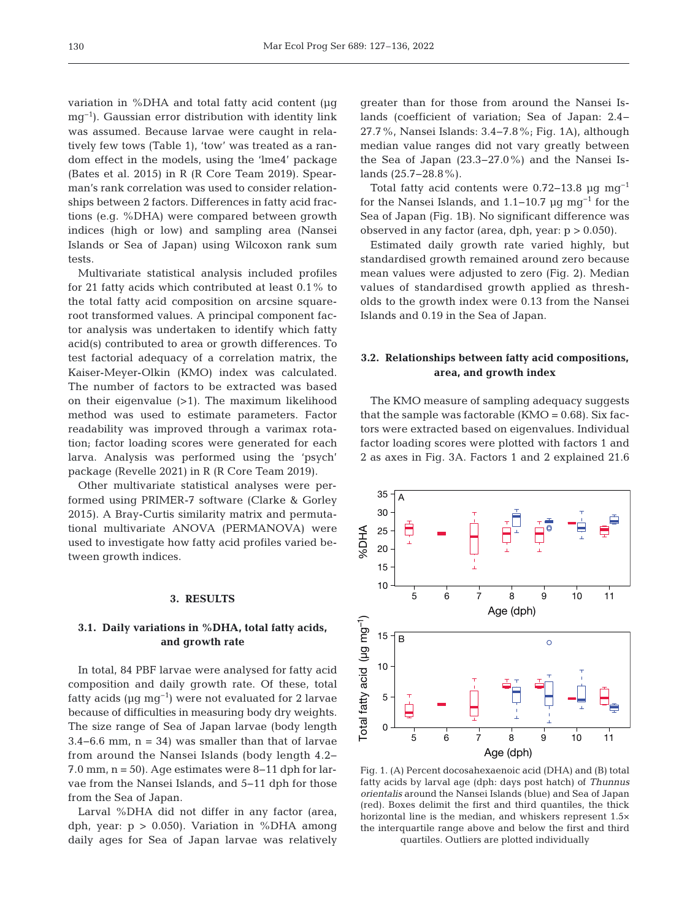variation in %DHA and total fatty acid content (μg mg−1). Gaussian error distribution with identity link was assumed. Because larvae were caught in relatively few tows (Table 1), 'tow' was treated as a random effect in the models, using the 'lme4' package (Bates et al. 2015) in R (R Core Team 2019). Spearman's rank correlation was used to consider relationships between 2 factors. Differences in fatty acid fractions (e.g. %DHA) were compared between growth indices (high or low) and sampling area (Nansei Islands or Sea of Japan) using Wilcoxon rank sum tests.

Multivariate statistical analysis included profiles for 21 fatty acids which contributed at least 0.1% to the total fatty acid composition on arcsine squareroot transformed values. A principal component factor analysis was undertaken to identify which fatty acid(s) contributed to area or growth differences. To test factorial adequacy of a correlation matrix, the Kaiser-Meyer-Olkin (KMO) index was calculated. The number of factors to be extracted was based on their eigenvalue (>1). The maximum likelihood method was used to estimate parameters. Factor readability was improved through a varimax rotation; factor loading scores were generated for each larva. Analysis was performed using the 'psych' package (Revelle 2021) in R (R Core Team 2019).

Other multivariate statistical analyses were performed using PRIMER-7 software (Clarke & Gorley 2015). A Bray-Curtis similarity matrix and permutational multivariate ANOVA (PERMANOVA) were used to investigate how fatty acid profiles varied be tween growth indices.

#### **3. RESULTS**

# **3.1. Daily variations in %DHA, total fatty acids, and growth rate**

In total, 84 PBF larvae were analysed for fatty acid composition and daily growth rate. Of these, total fatty acids ( $\mu$ g mg<sup>-1</sup>) were not evaluated for 2 larvae because of difficulties in measuring body dry weights. The size range of Sea of Japan larvae (body length  $3.4-6.6$  mm, n = 34) was smaller than that of larvae from around the Nansei Islands (body length 4.2− 7.0 mm, n = 50). Age estimates were 8−11 dph for larvae from the Nansei Islands, and 5−11 dph for those from the Sea of Japan.

Larval %DHA did not differ in any factor (area, dph, year:  $p > 0.050$ . Variation in %DHA among daily ages for Sea of Japan larvae was relatively greater than for those from around the Nansei Is lands (coefficient of variation; Sea of Japan: 2.4− 27.7%, Nansei Islands: 3.4−7.8%; Fig. 1A), although median value ranges did not vary greatly between the Sea of Japan (23.3−27.0%) and the Nansei Is lands (25.7−28.8%).

Total fatty acid contents were 0.72−13.8 μg mg−1 for the Nansei Islands, and 1.1−10.7 µg mg<sup>-1</sup> for the Sea of Japan (Fig. 1B). No significant difference was observed in any factor (area, dph, year: p > 0.050).

Estimated daily growth rate varied highly, but standardised growth remained around zero because mean values were adjusted to zero (Fig. 2). Median values of standardised growth applied as thresholds to the growth index were 0.13 from the Nansei Islands and 0.19 in the Sea of Japan.

# **3.2. Relationships between fatty acid compositions, area, and growth index**

The KMO measure of sampling adequacy suggests that the sample was factorable  $(KMO = 0.68)$ . Six factors were extracted based on eigenvalues. Individual factor loading scores were plotted with factors 1 and 2 as axes in Fig. 3A. Factors 1 and 2 explained 21.6



Fig. 1. (A) Percent docosahexaenoic acid (DHA) and (B) total fatty acids by larval age (dph: days post hatch) of *Thunnus orientalis* around the Nansei Islands (blue) and Sea of Japan (red). Boxes delimit the first and third quantiles, the thick horizontal line is the median, and whiskers represent 1.5× the interquartile range above and below the first and third quartiles. Outliers are plotted individually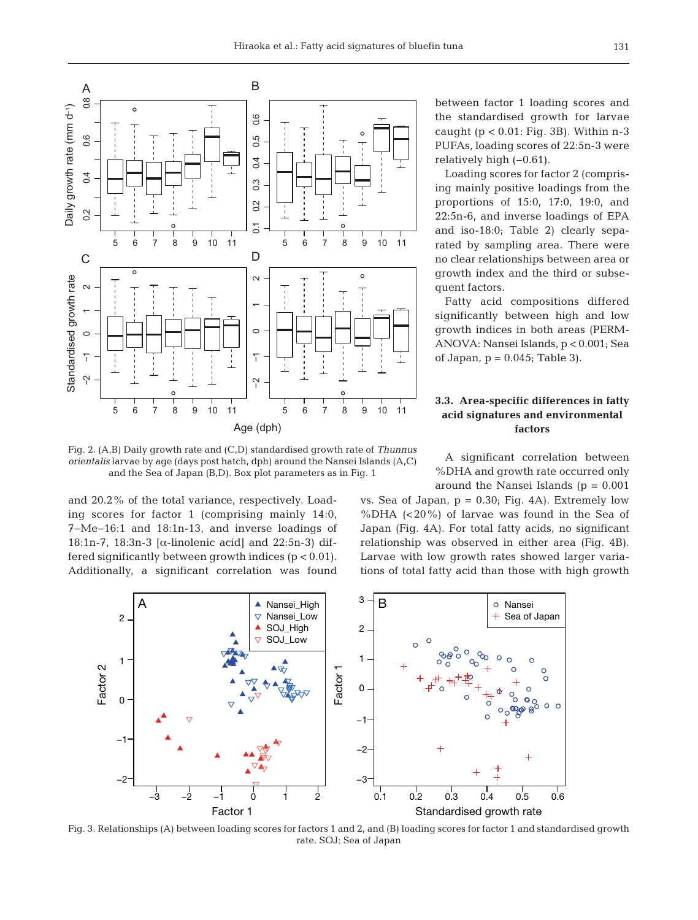

Fig. 2. (A,B) Daily growth rate and (C,D) standardised growth rate of *Thunnus orientalis* larvae by age (days post hatch, dph) around the Nansei Islands (A,C) and the Sea of Japan (B,D). Box plot parameters as in Fig. 1

and 20.2% of the total variance, respectively. Loading scores for factor 1 (comprising mainly 14:0, 7−Me−16:1 and 18:1n-13, and inverse loadings of 18:1n-7, 18:3n-3 [α-linolenic acid] and 22:5n-3) differed significantly between growth indices  $(p < 0.01)$ . Additionally, a significant correlation was found between factor 1 loading scores and the standardised growth for larvae caught  $(p < 0.01$ : Fig. 3B). Within n-3 PUFAs, loading scores of 22:5n-3 were relatively high (−0.61).

Loading scores for factor 2 (comprising mainly positive loadings from the proportions of 15:0, 17:0, 19:0, and 22:5n-6, and inverse loadings of EPA and iso-18:0; Table 2) clearly separated by sampling area. There were no clear relationships between area or growth index and the third or subsequent factors.

Fatty acid compositions differed significantly between high and low growth indices in both areas (PERM-ANOVA: Nansei Islands, p < 0.001; Sea of Japan,  $p = 0.045$ ; Table 3).

# **3.3. Area-specific differences in fatty acid signatures and environmental factors**

A significant correlation between %DHA and growth rate occurred only around the Nansei Islands  $(p = 0.001)$ 

vs. Sea of Japan,  $p = 0.30$ ; Fig. 4A). Extremely low %DHA (<20%) of larvae was found in the Sea of Japan (Fig. 4A). For total fatty acids, no significant relationship was observed in either area (Fig. 4B). Larvae with low growth rates showed larger variations of total fatty acid than those with high growth



Fig. 3. Relationships (A) between loading scores for factors 1 and 2, and (B) loading scores for factor 1 and standardised growth rate. SOJ: Sea of Japan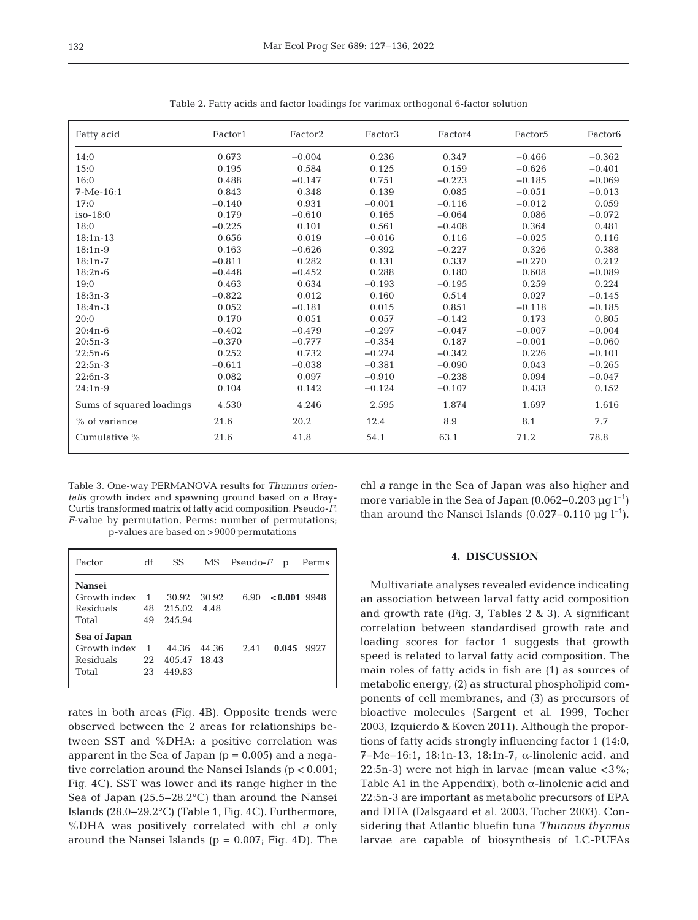| Fatty acid               | Factor1  | Factor <sub>2</sub> | Factor3  | Factor4  | Factor <sub>5</sub> | Factor <sub>6</sub> |
|--------------------------|----------|---------------------|----------|----------|---------------------|---------------------|
| 14:0                     | 0.673    | $-0.004$            | 0.236    | 0.347    | $-0.466$            | $-0.362$            |
| 15:0                     | 0.195    | 0.584               | 0.125    | 0.159    | $-0.626$            | $-0.401$            |
| 16:0                     | 0.488    | $-0.147$            | 0.751    | $-0.223$ | $-0.185$            | $-0.069$            |
| $7-Me-16:1$              | 0.843    | 0.348               | 0.139    | 0.085    | $-0.051$            | $-0.013$            |
| 17:0                     | $-0.140$ | 0.931               | $-0.001$ | $-0.116$ | $-0.012$            | 0.059               |
| $iso-18:0$               | 0.179    | $-0.610$            | 0.165    | $-0.064$ | 0.086               | $-0.072$            |
| 18:0                     | $-0.225$ | 0.101               | 0.561    | $-0.408$ | 0.364               | 0.481               |
| $18:1n-13$               | 0.656    | 0.019               | $-0.016$ | 0.116    | $-0.025$            | 0.116               |
| $18:1n-9$                | 0.163    | $-0.626$            | 0.392    | $-0.227$ | 0.326               | 0.388               |
| $18:1n-7$                | $-0.811$ | 0.282               | 0.131    | 0.337    | $-0.270$            | 0.212               |
| $18:2n-6$                | $-0.448$ | $-0.452$            | 0.288    | 0.180    | 0.608               | $-0.089$            |
| 19:0                     | 0.463    | 0.634               | $-0.193$ | $-0.195$ | 0.259               | 0.224               |
| $18:3n-3$                | $-0.822$ | 0.012               | 0.160    | 0.514    | 0.027               | $-0.145$            |
| $18:4n-3$                | 0.052    | $-0.181$            | 0.015    | 0.851    | $-0.118$            | $-0.185$            |
| 20:0                     | 0.170    | 0.051               | 0.057    | $-0.142$ | 0.173               | 0.805               |
| $20:4n-6$                | $-0.402$ | $-0.479$            | $-0.297$ | $-0.047$ | $-0.007$            | $-0.004$            |
| $20:5n-3$                | $-0.370$ | $-0.777$            | $-0.354$ | 0.187    | $-0.001$            | $-0.060$            |
| $22:5n-6$                | 0.252    | 0.732               | $-0.274$ | $-0.342$ | 0.226               | $-0.101$            |
| $22:5n-3$                | $-0.611$ | $-0.038$            | $-0.381$ | $-0.090$ | 0.043               | $-0.265$            |
| $22:6n-3$                | 0.082    | 0.097               | $-0.910$ | $-0.238$ | 0.094               | $-0.047$            |
| $24:1n-9$                | 0.104    | 0.142               | $-0.124$ | $-0.107$ | 0.433               | 0.152               |
| Sums of squared loadings | 4.530    | 4.246               | 2.595    | 1.874    | 1.697               | 1.616               |
| $%$ of variance          | 21.6     | 20.2                | 12.4     | 8.9      | 8.1                 | 7.7                 |
| Cumulative %             | 21.6     | 41.8                | 54.1     | 63.1     | 71.2                | 78.8                |

Table 2. Fatty acids and factor loadings for varimax orthogonal 6-factor solution

Table 3. One-way PERMANOVA results for *Thunnus orientalis* growth index and spawning ground based on a Bray-Curtis transformed matrix of fatty acid composition. Pseudo-*F*: *F*-value by permutation, Perms: number of permutations;

chl *a* range in the Sea of Japan was also higher and more variable in the Sea of Japan (0.062–0.203  $\mu$ q l<sup>-1</sup>) than around the Nansei Islands (0.027–0.110 μg  $l^{-1}$ ).

#### **4. DISCUSSION**

Multivariate analyses revealed evidence indicating an association between larval fatty acid composition and growth rate (Fig. 3, Tables 2 & 3). A significant correlation between standardised growth rate and loading scores for factor 1 suggests that growth speed is related to larval fatty acid composition. The main roles of fatty acids in fish are (1) as sources of metabolic energy, (2) as structural phospholipid components of cell membranes, and (3) as precursors of bioactive molecules (Sargent et al. 1999, Tocher 2003, Izquierdo & Koven 2011). Although the proportions of fatty acids strongly influencing factor 1 (14:0, 7−Me−16:1, 18:1n-13, 18:1n-7, α-linolenic acid, and 22:5n-3) were not high in larvae (mean value  $\langle 3\% \rangle$ ; Table A1 in the Appendix), both  $\alpha$ -linolenic acid and 22:5n-3 are important as metabolic precursors of EPA and DHA (Dalsgaard et al. 2003, Tocher 2003). Considering that Atlantic bluefin tuna *Thunnus thynnus* larvae are capable of biosynthesis of LC-PUFAs

p-values are based on >9000 permutations

| Factor                                             | df                         | SS                              |       | $MS$ Pseudo- $F$ p<br>Perms |
|----------------------------------------------------|----------------------------|---------------------------------|-------|-----------------------------|
| Nansei<br>Growth index<br>Residuals<br>Total       | $\overline{1}$<br>48<br>49 | 30.92<br>215.02 4.48<br>245.94  | 30.92 | $< 0.001$ 9948<br>6.90      |
| Sea of Japan<br>Growth index<br>Residuals<br>Total | $\overline{1}$<br>22<br>23 | 44.36<br>405.47 18.43<br>449.83 | 44.36 | 0.045<br>2.41<br>9927       |

rates in both areas (Fig. 4B). Opposite trends were observed between the 2 areas for relationships be tween SST and %DHA: a positive correlation was apparent in the Sea of Japan  $(p = 0.005)$  and a negative correlation around the Nansei Islands (p < 0.001; Fig. 4C). SST was lower and its range higher in the Sea of Japan (25.5−28.2°C) than around the Nansei Islands (28.0−29.2°C) (Table 1, Fig. 4C). Furthermore, %DHA was positively correlated with chl *a* only around the Nansei Islands ( $p = 0.007$ ; Fig. 4D). The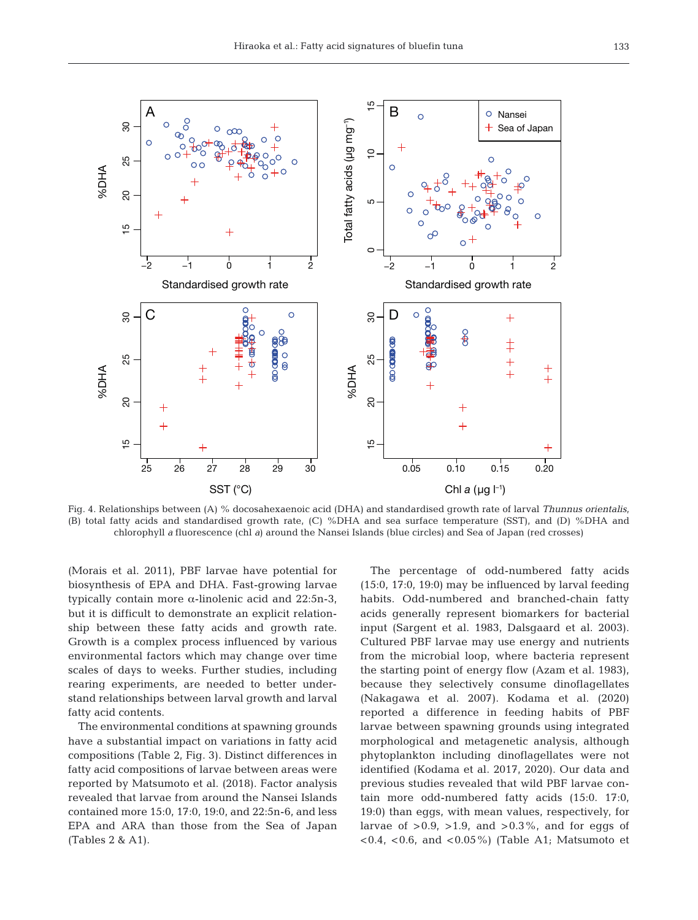

Fig. 4. Relationships between (A) % docosahexaenoic acid (DHA) and standardised growth rate of larval *Thunnus orientalis*, (B) total fatty acids and standardised growth rate, (C) %DHA and sea surface temperature (SST), and (D) %DHA and chlorophyll *a* fluorescence (chl *a*) around the Nansei Islands (blue circles) and Sea of Japan (red crosses)

(Morais et al. 2011), PBF larvae have potential for biosynthesis of EPA and DHA. Fast-growing larvae typically contain more α-linolenic acid and 22:5n-3, but it is difficult to demonstrate an explicit relationship between these fatty acids and growth rate. Growth is a complex process influenced by various environmental factors which may change over time scales of days to weeks. Further studies, including rearing experiments, are needed to better understand relationships between larval growth and larval fatty acid contents.

The environmental conditions at spawning grounds have a substantial impact on variations in fatty acid compositions (Table 2, Fig. 3). Distinct differences in fatty acid compositions of larvae between areas were reported by Matsumoto et al. (2018). Factor analysis revealed that larvae from around the Nansei Islands contained more 15:0, 17:0, 19:0, and 22:5n-6, and less EPA and ARA than those from the Sea of Japan (Tables 2 & A1).

The percentage of odd-numbered fatty acids (15:0, 17:0, 19:0) may be influenced by larval feeding habits. Odd-numbered and branched-chain fatty acids generally represent biomarkers for bacterial input (Sargent et al. 1983, Dalsgaard et al. 2003). Cultured PBF larvae may use energy and nutrients from the microbial loop, where bacteria represent the starting point of energy flow (Azam et al. 1983), because they selectively consume dinoflagellates (Nakagawa et al. 2007). Kodama et al. (2020) reported a difference in feeding habits of PBF larvae between spawning grounds using integrated morphological and metagenetic analysis, although phytoplankton including dinoflagellates were not identified (Kodama et al. 2017, 2020). Our data and previous studies revealed that wild PBF larvae contain more odd-numbered fatty acids (15:0. 17:0, 19:0) than eggs, with mean values, respectively, for larvae of  $>0.9$ ,  $>1.9$ , and  $>0.3\%$ , and for eggs of  $(0.4, 0.6,$  and  $(0.05\%)$  (Table A1; Matsumoto et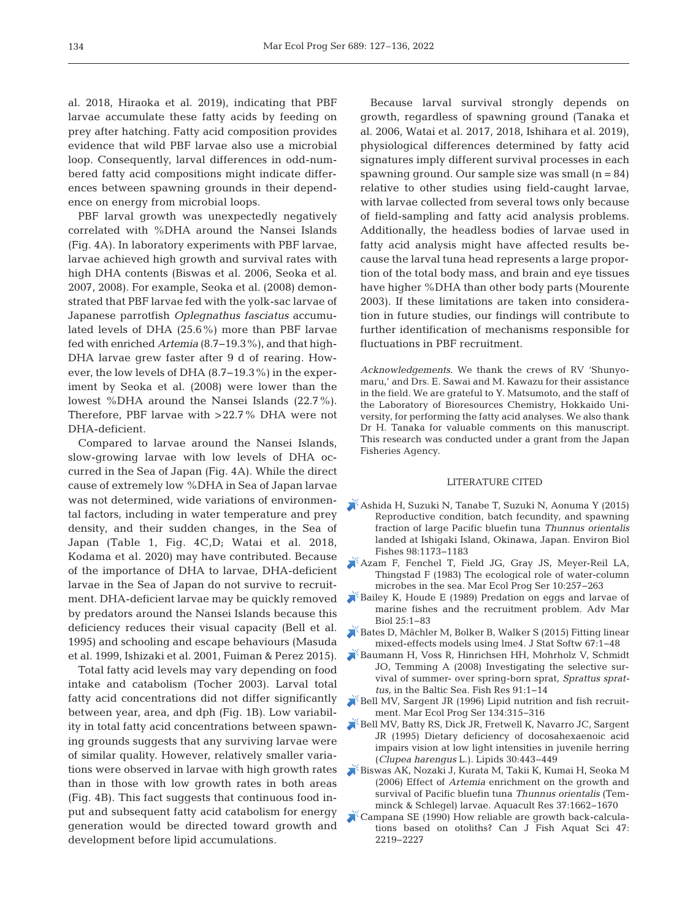al. 2018, Hiraoka et al. 2019), indicating that PBF larvae accumulate these fatty acids by feeding on prey after hatching. Fatty acid composition provides evidence that wild PBF larvae also use a microbial loop. Consequently, larval differences in odd-numbered fatty acid compositions might indicate differences between spawning grounds in their dependence on energy from microbial loops.

PBF larval growth was unexpectedly negatively correlated with %DHA around the Nansei Islands (Fig. 4A). In laboratory experiments with PBF larvae, larvae achieved high growth and survival rates with high DHA contents (Biswas et al. 2006, Seoka et al. 2007, 2008). For example, Seoka et al. (2008) demonstrated that PBF larvae fed with the yolk-sac larvae of Japanese parrotfish *Oplegnathus fasciatus* accumulated levels of DHA (25.6%) more than PBF larvae fed with enriched *Artemia* (8.7−19.3%), and that high-DHA larvae grew faster after 9 d of rearing. However, the low levels of DHA (8.7−19.3%) in the experiment by Seoka et al. (2008) were lower than the lowest %DHA around the Nansei Islands (22.7%). Therefore, PBF larvae with >22.7% DHA were not DHA-deficient.

Compared to larvae around the Nansei Islands, slow-growing larvae with low levels of DHA occurred in the Sea of Japan (Fig. 4A). While the direct cause of extremely low %DHA in Sea of Japan larvae was not determined, wide variations of environmental factors, including in water temperature and prey density, and their sudden changes, in the Sea of Japan (Table 1, Fig. 4C,D; Watai et al. 2018, Kodama et al. 2020) may have contributed. Because of the importance of DHA to larvae, DHA-deficient larvae in the Sea of Japan do not survive to recruitment. DHA-deficient larvae may be quickly removed by predators around the Nansei Islands because this deficiency reduces their visual capacity (Bell et al. 1995) and schooling and escape behaviours (Masuda et al. 1999, Ishizaki et al. 2001, Fuiman & Perez 2015).

Total fatty acid levels may vary depending on food intake and catabolism (Tocher 2003). Larval total fatty acid concentrations did not differ significantly between year, area, and dph (Fig. 1B). Low variability in total fatty acid concentrations between spawning grounds suggests that any surviving larvae were of similar quality. However, relatively smaller variations were observed in larvae with high growth rates than in those with low growth rates in both areas (Fig. 4B). This fact suggests that continuous food in put and subsequent fatty acid catabolism for energy generation would be directed toward growth and development before lipid accumulations.

Because larval survival strongly depends on growth, regardless of spawning ground (Tanaka et al. 2006, Watai et al. 2017, 2018, Ishihara et al. 2019), physiological differences determined by fatty acid signatures imply different survival processes in each spawning ground. Our sample size was small  $(n = 84)$ relative to other studies using field-caught larvae, with larvae collected from several tows only because of field-sampling and fatty acid analysis problems. Additionally, the headless bodies of larvae used in fatty acid analysis might have affected results be cause the larval tuna head represents a large proportion of the total body mass, and brain and eye tissues have higher %DHA than other body parts (Mourente 2003). If these limitations are taken into consideration in future studies, our findings will contribute to further identification of mechanisms responsible for fluctuations in PBF recruitment.

*Acknowledgements*. We thank the crews of RV 'Shunyomaru,' and Drs. E. Sawai and M. Kawazu for their assistance in the field. We are grateful to Y. Matsumoto, and the staff of the Laboratory of Bioresources Chemistry, Hokkaido University, for performing the fatty acid analyses. We also thank Dr H. Tanaka for valuable comments on this manuscript. This research was conducted under a grant from the Japan Fisheries Agency.

#### LITERATURE CITED

- [Ashida H, Suzuki N, Tanabe T, Suzuki N, Aonuma Y \(2015\)](https://doi.org/10.1007/s10641-014-0350-8)  Reproductive condition, batch fecundity, and spawning fraction of large Pacific bluefin tuna *Thunnus orientalis* landed at Ishigaki Island, Okinawa, Japan. Environ Biol Fishes 98: 1173−1183
- [Azam F, Fenchel T, Field JG, Gray JS, Meyer-Reil LA,](https://doi.org/10.3354/meps010257)  Thingstad F (1983) The ecological role of water-column microbes in the sea. Mar Ecol Prog Ser 10: 257−263
- [Bailey K, Houde E \(1989\) Predation on eggs and larvae of](https://doi.org/10.1016/S0065-2881(08)60187-X)  marine fishes and the recruitment problem. Adv Mar Biol 25: 1−83
- [Bates D, Mächler M, Bolker B, Walker S \(2015\) Fitting linear](https://doi.org/10.18637/jss.v067.i01)  mixed-effects models using lme4. J Stat Softw 67: 1−48
- [Baumann H, Voss R, Hinrichsen HH, Mohrholz V, Schmidt](https://doi.org/10.1016/j.fishres.2007.11.004)  JO, Temming A (2008) Investigating the selective survival of summer- over spring-born sprat, *Sprattus sprattus*, in the Baltic Sea. Fish Res 91: 1−14
- [Bell MV, Sargent JR \(1996\) Lipid nutrition and fish recruit](https://doi.org/10.3354/meps134315)ment. Mar Ecol Prog Ser 134:315-316
- [Bell MV, Batty RS, Dick JR, Fretwell K, Navarro JC, Sargent](https://doi.org/10.1007/BF02536303)  JR (1995) Dietary deficiency of docosahexaenoic acid impairs vision at low light intensities in juvenile herring (*Clupea harengus* L.). Lipids 30: 443−449
- [Biswas AK, Nozaki J, Kurata M, Takii K, Kumai H, Seoka M](https://doi.org/10.1111/j.1365-2109.2006.01617.x)  (2006) Effect of *Artemia* enrichment on the growth and survival of Pacific bluefin tuna *Thunnus orientalis* (Temminck & Schlegel) larvae. Aquacult Res 37: 1662−1670
- [Campana SE \(1990\) How reliable are growth back-calcula](https://doi.org/10.1139/f90-246)tions based on otoliths? Can J Fish Aquat Sci 47: 2219−2227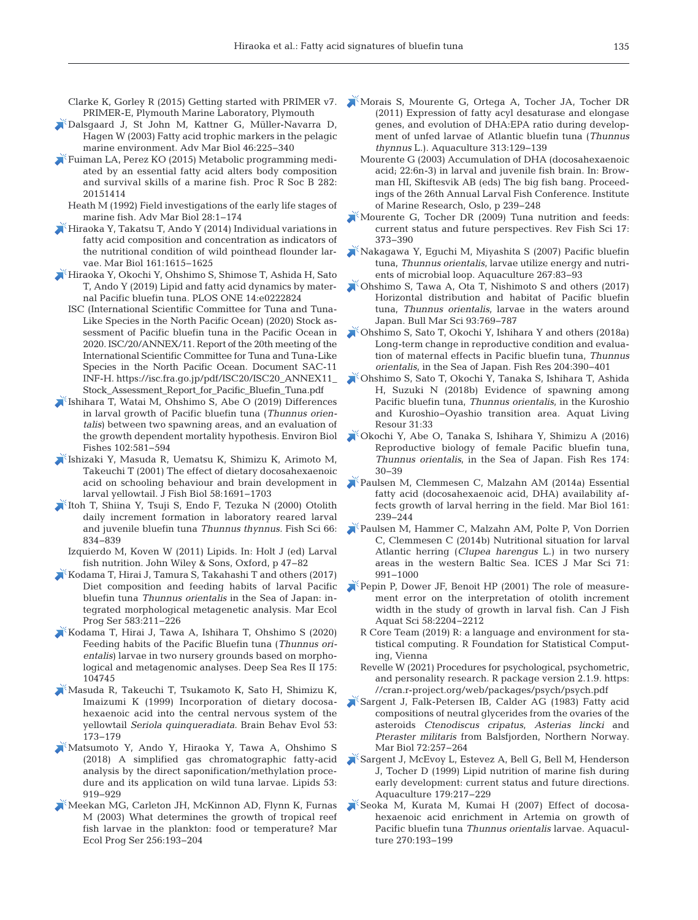Clarke K, Gorley R (2015) Getting started with PRIMER v7. PRIMER-E, Plymouth Marine Laboratory, Plymouth

- [Dalsgaard J, St John M, Kattner G, Müller-Navarra D,](https://doi.org/10.1016/S0065-2881(03)46005-7)  Hagen W (2003) Fatty acid trophic markers in the pelagic marine environment. Adv Mar Biol 46: 225−340
- [Fuiman LA, Perez KO \(2015\) Metabolic programming medi](https://pubmed.ncbi.nlm.nih.gov/26582018)ated by an essential fatty acid alters body composition and survival skills of a marine fish. Proc R Soc B 282: 20151414
	- Heath M (1992) Field investigations of the early life stages of marine fish. Adv Mar Biol 28: 1−174
- [Hiraoka Y, Takatsu T, Ando Y \(2014\) Individual variations in](https://doi.org/10.1007/s00227-014-2445-3)  fatty acid composition and concentration as indicators of the nutritional condition of wild pointhead flounder larvae. Mar Biol 161:1615-1625
- [Hiraoka Y, Okochi Y, Ohshimo S, Shimose T, Ashida H, Sato](https://doi.org/10.1371/journal.pone.0222824)  T, Ando Y (2019) Lipid and fatty acid dynamics by maternal Pacific bluefin tuna. PLOS ONE 14: e0222824
	- ISC (International Scientific Committee for Tuna and Tuna-Like Species in the North Pacific Ocean) (2020) Stock assessment of Pacific bluefin tuna in the Pacific Ocean in 2020. ISC/20/ANNEX/11. Report of the 20th meeting of the International Scientific Committee for Tuna and Tuna-Like Species in the North Pacific Ocean. Document SAC-11 INF-H. https://isc.fra.go.jp/pdf/ISC20/ISC20\_ANNEX11\_ Stock\_Assessment\_Report\_for\_Pacific\_Bluefin\_Tuna.pdf
- [Ishihara T, Watai M, Ohshimo S, Abe O \(2019\) Differences](https://doi.org/10.1007/s10641-019-00855-w)  in larval growth of Pacific bluefin tuna (*Thunnus orientalis*) between two spawning areas, and an evaluation of the growth dependent mortality hypothesis. Environ Biol Fishes 102: 581−594
- [Ishizaki Y, Masuda R, Uematsu K, Shimizu K, Arimoto M,](https://doi.org/10.1111/j.1095-8649.2001.tb02323.x)  Takeuchi T (2001) The effect of dietary docosahexaenoic acid on schooling behaviour and brain development in larval yellowtail. J Fish Biol 58: 1691−1703
- [Itoh T, Shiina Y, Tsuji S, Endo F, Tezuka N \(2000\) Otolith](https://doi.org/10.1046/j.1444-2906.2000.00135.x)  daily increment formation in laboratory reared larval and juvenile bluefin tuna *Thunnus thynnus.* Fish Sci 66: 834−839
- Izquierdo M, Koven W (2011) Lipids. In: Holt J (ed) Larval fish nutrition. John Wiley & Sons, Oxford, p 47−82
- [Kodama T, Hirai J, Tamura S, Takahashi T and others \(2017\)](https://doi.org/10.3354/meps12341)  Diet composition and feeding habits of larval Pacific bluefin tuna *Thunnus orientalis* in the Sea of Japan: integrated morphological metagenetic analysis. Mar Ecol Prog Ser 583:211-226
- [Kodama T, Hirai J, Tawa A, Ishihara T, Ohshimo S \(2020\)](https://doi.org/10.1016/j.dsr2.2020.104745)  Feeding habits of the Pacific Bluefin tuna (*Thunnus orientalis*) larvae in two nursery grounds based on morphological and metagenomic analyses. Deep Sea Res II 175: 104745
- [Masuda R, Takeuchi T, Tsukamoto K, Sato H, Shimizu K,](https://doi.org/10.1159/000006592)  Imaizumi K (1999) Incorporation of dietary docosahexaenoic acid into the central nervous system of the yellowtail *Seriola quinqueradiata.* Brain Behav Evol 53: 173−179
- [Matsumoto Y, Ando Y, Hiraoka Y, Tawa A, Ohshimo S](https://doi.org/10.1002/lipd.12098)  (2018) A simplified gas chromatographic fatty-acid analysis by the direct saponification/methylation procedure and its application on wild tuna larvae. Lipids 53: 919−929
- [Meekan MG, Carleton JH, McKinnon AD, Flynn K, Furnas](https://doi.org/10.3354/meps256193)  M (2003) What determines the growth of tropical reef fish larvae in the plankton: food or temperature? Mar Ecol Prog Ser 256: 193−204
- [Morais S, Mourente G, Ortega A, Tocher JA, Tocher DR](https://doi.org/10.1016/j.aquaculture.2011.01.031)  (2011) Expression of fatty acyl desaturase and elongase genes, and evolution of DHA: EPA ratio during development of unfed larvae of Atlantic bluefin tuna (*Thunnus thynnus* L.). Aquaculture 313: 129−139
	- Mourente G (2003) Accumulation of DHA (docosahexaenoic acid; 22:6n-3) in larval and juvenile fish brain. In: Browman HI, Skiftesvik AB (eds) The big fish bang. Proceedings of the 26th Annual Larval Fish Conference. Institute of Marine Research, Oslo, p 239−248
- [Mourente G, Tocher DR \(2009\) Tuna nutrition and feeds:](https://doi.org/10.1080/10641260902752207)  current status and future perspectives. Rev Fish Sci 17: 373−390
- [Nakagawa Y, Eguchi M, Miyashita S \(2007\) Pacific bluefin](https://doi.org/10.1016/j.aquaculture.2007.02.024)  tuna, *Thunnus orientalis*, larvae utilize energy and nutrients of microbial loop. Aquaculture 267:83-93
- [Ohshimo S, Tawa A, Ota T, Nishimoto S and others \(2017\)](https://doi.org/10.5343/bms.2016.1094)  Horizontal distribution and habitat of Pacific bluefin tuna, *Thunnus orientalis*, larvae in the waters around Japan. Bull Mar Sci 93: 769−787
- [Ohshimo S, Sato T, Okochi Y, Ishihara Y and others \(2018a\)](https://doi.org/10.1016/j.fishres.2018.03.017)  Long-term change in reproductive condition and evaluation of maternal effects in Pacific bluefin tuna, *Thunnus orientalis*, in the Sea of Japan. Fish Res 204:390-401
- [Ohshimo S, Sato T, Okochi Y, Tanaka S, Ishihara T, Ashida](https://doi.org/10.1051/alr/2018022)  H, Suzuki N (2018b) Evidence of spawning among Pacific bluefin tuna, *Thunnus orientalis*, in the Kuroshio and Kuroshio−Oyashio transition area. Aquat Living Resour 31:33
- [Okochi Y, Abe O, Tanaka S, Ishihara Y, Shimizu A \(2016\)](https://doi.org/10.1016/j.fishres.2015.08.020)  Reproductive biology of female Pacific bluefin tuna, *Thunnus orientalis*, in the Sea of Japan. Fish Res 174: 30−39
- [Paulsen M, Clemmesen C, Malzahn AM \(2014a\) Essential](https://doi.org/10.1007/s00227-013-2313-6)  fatty acid (docosahexaenoic acid, DHA) availability af fects growth of larval herring in the field. Mar Biol 161: 239−244
- [Paulsen M, Hammer C, Malzahn AM, Polte P, Von Dorrien](https://doi.org/10.1093/icesjms/fst168)  C, Clemmesen C (2014b) Nutritional situation for larval Atlantic herring (*Clupea harengus* L.) in two nursery areas in the western Baltic Sea. ICES J Mar Sci 71: 991−1000
- [Pepin P, Dower JF, Benoit HP \(2001\) The role of measure](https://doi.org/10.1139/f01-159)ment error on the interpretation of otolith increment width in the study of growth in larval fish. Can J Fish Aquat Sci 58: 2204−2212
	- R Core Team (2019) R: a language and environment for statistical computing. R Foundation for Statistical Computing, Vienna
	- Revelle W (2021) Procedures for psychological, psychometric, and personality research. R package version 2.1.9. https: //cran.r-project.org/web/packages/psych/psych.pdf
- [Sargent J, Falk-Petersen IB, Calder AG \(1983\) Fatty acid](https://doi.org/10.1007/BF00396831)  compositions of neutral glycerides from the ovaries of the asteroids *Ctenodiscus cripatus*, *Asterias lincki* and *Pteraster militaris* from Balsfjorden, Northern Norway. Mar Biol 72:257-264
- [Sargent J, McEvoy L, Estevez A, Bell G, Bell M, Henderson](https://doi.org/10.1016/S0044-8486(99)00191-X)  J, Tocher D (1999) Lipid nutrition of marine fish during early development: current status and future directions. Aquaculture 179:217-229
- [Seoka M, Kurata M, Kumai H \(2007\) Effect of docosa](https://doi.org/10.1016/j.aquaculture.2007.06.016)hexaenoic acid enrichment in Artemia on growth of Pacific bluefin tuna *Thunnus orientalis* larvae. Aquaculture 270: 193−199